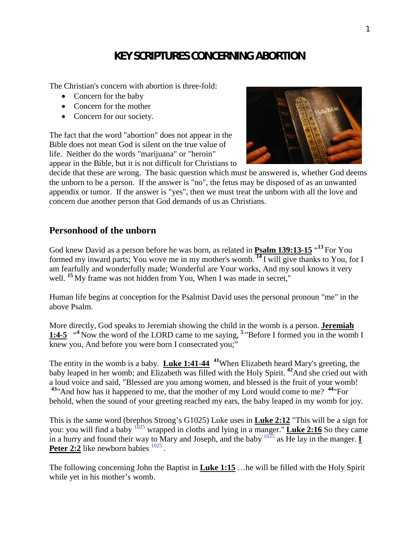# **KEY SCRIPTURES CONCERNING ABORTION**

The Christian's concern with abortion is three-fold:

- Concern for the baby
- Concern for the mother
- Concern for our society.

The fact that the word "abortion" does not appear in the Bible does not mean God is silent on the true value of life. Neither do the words "marijuana" or "heroin" appear in the Bible, but it is not difficult for Christians to



decide that these are wrong. The basic question which must be answered is, whether God deems the unborn to be a person. If the answer is "no", the fetus may be disposed of as an unwanted appendix or tumor. If the answer is "yes", then we must treat the unborn with all the love and concern due another person that God demands of us as Christians.

### **Personhood of the unborn**

God knew David as a person before he was born, as related in **Psalm 139:13-15** " **<sup>13</sup>** For You formed my inward parts; You wove me in my mother's womb. **<sup>14</sup>** I will give thanks to You, for I am fearfully and wonderfully made; Wonderful are Your works, And my soul knows it very well. <sup>15</sup> My frame was not hidden from You, When I was made in secret,"

Human life begins at conception for the Psalmist David uses the personal pronoun "me" in the above Psalm.

More directly, God speaks to Jeremiah showing the child in the womb is a person. **Jeremiah** 1:4-5 <sup>"4</sup> Now the word of the LORD came to me saying, <sup>5</sup> "Before I formed you in the womb I knew you, And before you were born I consecrated you;"

The entity in the womb is a baby. **Luke 1:41-44 <sup>41</sup>**When Elizabeth heard Mary's greeting, the baby leaped in her womb; and Elizabeth was filled with the Holy Spirit. **<sup>42</sup>**And she cried out with a loud voice and said, "Blessed are you among women, and blessed is the fruit of your womb! **<sup>43</sup>**"And how has it happened to me, that the mother of my Lord would come to me? **<sup>44</sup>**"For behold, when the sound of your greeting reached my ears, the baby leaped in my womb for joy.

This is the same word (brephos Strong's G1025) Luke uses in **Luke 2:12** "This will be a sign for you: you will find a baby <sup>1025</sup> wrapped in cloths and lying in a manger." **Luke 2:16** So they came in a hurry and found their way to Mary and Joseph, and the baby  $1025$  as He lay in the manger. **I** Peter 2:2 like newborn babies  $1025$ .

The following concerning John the Baptist in **Luke 1:15** …he will be filled with the Holy Spirit while yet in his mother's womb.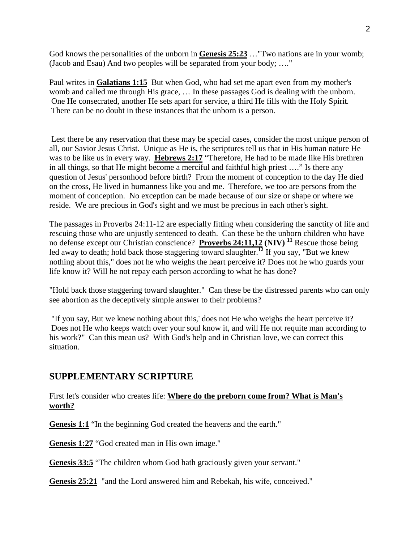God knows the personalities of the unborn in **Genesis 25:23** …"Two nations are in your womb; (Jacob and Esau) And two peoples will be separated from your body; …."

Paul writes in **Galatians 1:15** But when God, who had set me apart even from my mother's womb and called me through His grace, … In these passages God is dealing with the unborn. One He consecrated, another He sets apart for service, a third He fills with the Holy Spirit. There can be no doubt in these instances that the unborn is a person.

Lest there be any reservation that these may be special cases, consider the most unique person of all, our Savior Jesus Christ. Unique as He is, the scriptures tell us that in His human nature He was to be like us in every way. **Hebrews 2:17** "Therefore, He had to be made like His brethren in all things, so that He might become a merciful and faithful high priest …." Is there any question of Jesus' personhood before birth? From the moment of conception to the day He died on the cross, He lived in humanness like you and me. Therefore, we too are persons from the moment of conception. No exception can be made because of our size or shape or where we reside. We are precious in God's sight and we must be precious in each other's sight.

The passages in Proverbs 24:11-12 are especially fitting when considering the sanctity of life and rescuing those who are unjustly sentenced to death. Can these be the unborn children who have no defense except our Christian conscience? **Proverbs 24:11,12 (NIV) <sup>11</sup>** Rescue those being led away to death; hold back those staggering toward slaughter.**<sup>12</sup>** If you say, "But we knew nothing about this," does not he who weighs the heart perceive it? Does not he who guards your life know it? Will he not repay each person according to what he has done?

"Hold back those staggering toward slaughter." Can these be the distressed parents who can only see abortion as the deceptively simple answer to their problems?

"If you say, But we knew nothing about this,' does not He who weighs the heart perceive it? Does not He who keeps watch over your soul know it, and will He not requite man according to his work?" Can this mean us? With God's help and in Christian love, we can correct this situation.

# **SUPPLEMENTARY SCRIPTURE**

First let's consider who creates life: **Where do the preborn come from? What is Man's worth?**

**Genesis 1:1** "In the beginning God created the heavens and the earth."

**Genesis 1:27** "God created man in His own image."

**Genesis 33:5** "The children whom God hath graciously given your servant."

**Genesis 25:21** "and the Lord answered him and Rebekah, his wife, conceived."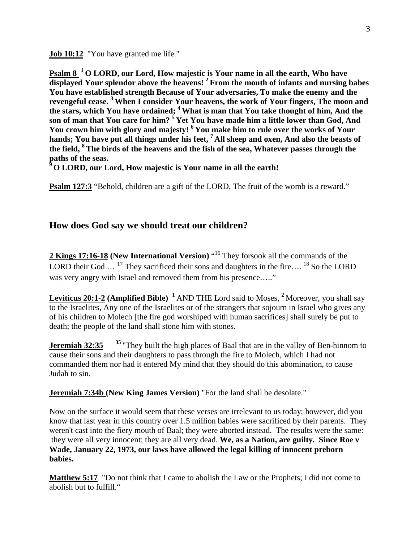**Job 10:12** "You have granted me life."

**Psalm 8 <sup>1</sup> O LORD, our Lord, How majestic is Your name in all the earth, Who have displayed Your splendor above the heavens! <sup>2</sup> From the mouth of infants and nursing babes You have established strength Because of Your adversaries, To make the enemy and the revengeful cease. <sup>3</sup> When I consider Your heavens, the work of Your fingers, The moon and the stars, which You have ordained; <sup>4</sup> What is man that You take thought of him, And the son of man that You care for him? <sup>5</sup> Yet You have made him a little lower than God, And You crown him with glory and majesty! <sup>6</sup> You make him to rule over the works of Your hands; You have put all things under his feet, <sup>7</sup> All sheep and oxen, And also the beasts of the field, <sup>8</sup>The birds of the heavens and the fish of the sea, Whatever passes through the paths of the seas.**

**<sup>9</sup> O LORD, our Lord, How majestic is Your name in all the earth!**

**Psalm 127:3** "Behold, children are a gift of the LORD. The fruit of the womb is a reward."

# **How does God say we should treat our children?**

2 Kings 17:16-18 (New International Version) "<sup>16</sup> They forsook all the commands of the LORD their God  $\ldots$  <sup>17</sup> They sacrificed their sons and daughters in the fire.... <sup>18</sup> So the LORD was very angry with Israel and removed them from his presence....."

**Leviticus 20:1-2 (Amplified Bible) <sup>1</sup>** AND THE Lord said to Moses, **<sup>2</sup>** Moreover, you shall say to the Israelites, Any one of the Israelites or of the strangers that sojourn in Israel who gives any of his children to Molech [the fire god worshiped with human sacrifices] shall surely be put to death; the people of the land shall stone him with stones.

**Jeremiah 32:35** <sup>35</sup> "They built the high places of Baal that are in the valley of Ben-hinnom to cause their sons and their daughters to pass through the fire to Molech, which I had not commanded them nor had it entered My mind that they should do this abomination, to cause Judah to sin.

**Jeremiah 7:34b (New King James Version)** "For the land shall be desolate."

Now on the surface it would seem that these verses are irrelevant to us today; however, did you know that last year in this country over 1.5 million babies were sacrificed by their parents. They weren't cast into the fiery mouth of Baal; they were aborted instead. The results were the same: they were all very innocent; they are all very dead. **We, as a Nation, are guilty. Since Roe v Wade, January 22, 1973, our laws have allowed the legal killing of innocent preborn babies.**

**Matthew 5:17** "Do not think that I came to abolish the Law or the Prophets; I did not come to abolish but to fulfill."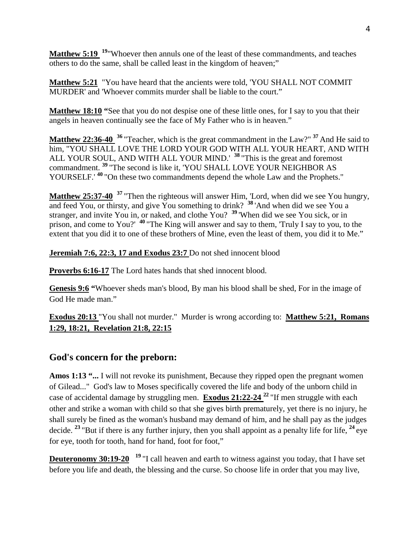**Matthew 5:19 <sup>19</sup>**"Whoever then annuls one of the least of these commandments, and teaches others to do the same, shall be called least in the kingdom of heaven;"

**Matthew 5:21** "You have heard that the ancients were told, 'YOU SHALL NOT COMMIT MURDER' and 'Whoever commits murder shall be liable to the court."

**Matthew 18:10 "**See that you do not despise one of these little ones, for I say to you that their angels in heaven continually see the face of My Father who is in heaven."

**Matthew 22:36-40 <sup>36</sup>** "Teacher, which is the great commandment in the Law?" **<sup>37</sup>** And He said to him, "YOU SHALL LOVE THE LORD YOUR GOD WITH ALL YOUR HEART, AND WITH ALL YOUR SOUL, AND WITH ALL YOUR MIND.' **<sup>38</sup>** "This is the great and foremost commandment. **<sup>39</sup>** "The second is like it, 'YOU SHALL LOVE YOUR NEIGHBOR AS YOURSELF.'<sup>40</sup> "On these two commandments depend the whole Law and the Prophets."

**Matthew 25:37-40 <sup>37</sup>** "Then the righteous will answer Him, 'Lord, when did we see You hungry, and feed You, or thirsty, and give You something to drink? **<sup>38</sup>** 'And when did we see You a stranger, and invite You in, or naked, and clothe You? **<sup>39</sup>** 'When did we see You sick, or in prison, and come to You?' **<sup>40</sup>** "The King will answer and say to them, 'Truly I say to you, to the extent that you did it to one of these brothers of Mine, even the least of them, you did it to Me."

**Jeremiah 7:6, 22:3, 17 and Exodus 23:7** Do not shed innocent blood

**Proverbs 6:16-17** The Lord hates hands that shed innocent blood.

**Genesis 9:6 "**Whoever sheds man's blood, By man his blood shall be shed, For in the image of God He made man."

**Exodus 20:13** "You shall not murder." Murder is wrong according to: **Matthew 5:21, Romans 1:29, 18:21, Revelation 21:8, 22:15**

# **God's concern for the preborn:**

**Amos 1:13 "...** I will not revoke its punishment, Because they ripped open the pregnant women of Gilead..." God's law to Moses specifically covered the life and body of the unborn child in case of accidental damage by struggling men. **Exodus 21:22-24 <sup>22</sup>** "If men struggle with each other and strike a woman with child so that she gives birth prematurely, yet there is no injury, he shall surely be fined as the woman's husband may demand of him, and he shall pay as the judges decide. **<sup>23</sup>** "But if there is any further injury, then you shall appoint as a penalty life for life, **<sup>24</sup>** eye for eye, tooth for tooth, hand for hand, foot for foot,"

**Deuteronomy 30:19-20** <sup>19</sup> "I call heaven and earth to witness against you today, that I have set before you life and death, the blessing and the curse. So choose life in order that you may live,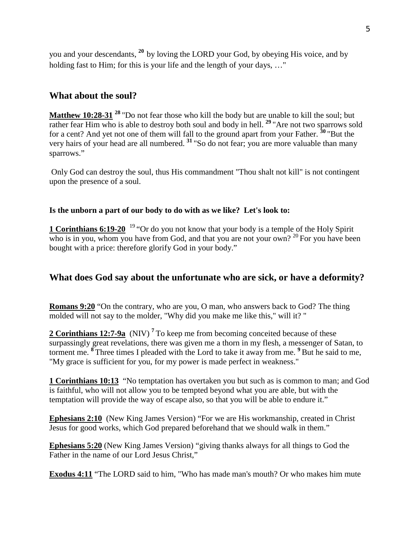you and your descendants, **<sup>20</sup>** by loving the LORD your God, by obeying His voice, and by holding fast to Him; for this is your life and the length of your days, ..."

### **What about the soul?**

**Matthew 10:28-31** <sup>28</sup> "Do not fear those who kill the body but are unable to kill the soul; but rather fear Him who is able to destroy both soul and body in hell. <sup>29</sup> "Are not two sparrows sold for a cent? And yet not one of them will fall to the ground apart from your Father. **<sup>30</sup>** "But the very hairs of your head are all numbered. **<sup>31</sup>** "So do not fear; you are more valuable than many sparrows."

Only God can destroy the soul, thus His commandment "Thou shalt not kill" is not contingent upon the presence of a soul.

#### **Is the unborn a part of our body to do with as we like? Let's look to:**

**1 Corinthians 6:19-20** <sup>19</sup> "Or do you not know that your body is a temple of the Holy Spirit who is in you, whom you have from God, and that you are not your own?  $2^{0}$  For you have been bought with a price: therefore glorify God in your body."

### **What does God say about the unfortunate who are sick, or have a deformity?**

**Romans 9:20** "On the contrary, who are you, O man, who answers back to God? The thing molded will not say to the molder, "Why did you make me like this," will it? "

**2 Corinthians 12:7-9a** (NIV) **<sup>7</sup>** To keep me from becoming conceited because of these surpassingly great revelations, there was given me a thorn in my flesh, a messenger of Satan, to torment me. **<sup>8</sup>** Three times I pleaded with the Lord to take it away from me. **<sup>9</sup>** But he said to me, "My grace is sufficient for you, for my power is made perfect in weakness."

**1 Corinthians 10:13** "No temptation has overtaken you but such as is common to man; and God is faithful, who will not allow you to be tempted beyond what you are able, but with the temptation will provide the way of escape also, so that you will be able to endure it."

**Ephesians 2:10** (New King James Version) "For we are His workmanship, created in Christ Jesus for good works, which God prepared beforehand that we should walk in them."

**Ephesians 5:20** (New King James Version) "giving thanks always for all things to God the Father in the name of our Lord Jesus Christ,"

**Exodus 4:11** "The LORD said to him, "Who has made man's mouth? Or who makes him mute